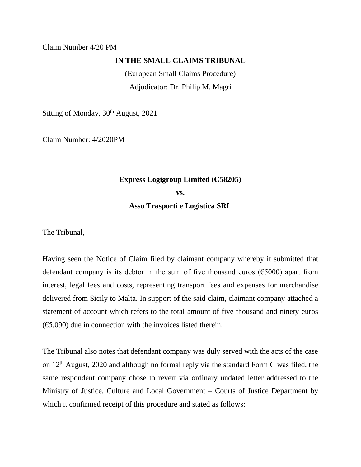## Claim Number 4/20 PM

## **IN THE SMALL CLAIMS TRIBUNAL**

(European Small Claims Procedure) Adjudicator: Dr. Philip M. Magri

Sitting of Monday, 30<sup>th</sup> August, 2021

Claim Number: 4/2020PM

## **Express Logigroup Limited (C58205)**

**vs.**

**Asso Trasporti e Logistica SRL**

The Tribunal,

Having seen the Notice of Claim filed by claimant company whereby it submitted that defendant company is its debtor in the sum of five thousand euros ( $\epsilon$ 5000) apart from interest, legal fees and costs, representing transport fees and expenses for merchandise delivered from Sicily to Malta. In support of the said claim, claimant company attached a statement of account which refers to the total amount of five thousand and ninety euros  $(65,090)$  due in connection with the invoices listed therein.

The Tribunal also notes that defendant company was duly served with the acts of the case on 12<sup>th</sup> August, 2020 and although no formal reply via the standard Form C was filed, the same respondent company chose to revert via ordinary undated letter addressed to the Ministry of Justice, Culture and Local Government – Courts of Justice Department by which it confirmed receipt of this procedure and stated as follows: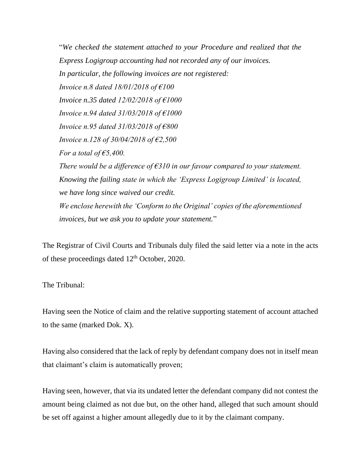"*We checked the statement attached to your Procedure and realized that the Express Logigroup accounting had not recorded any of our invoices. In particular, the following invoices are not registered: Invoice n.8 dated 18/01/2018 of €100 Invoice n.35 dated 12/02/2018 of €1000 Invoice n.94 dated 31/03/2018 of €1000 Invoice n.95 dated 31/03/2018 of €800 Invoice n.128 of 30/04/2018 of €2,500 For a total of €5,400. There would be a difference of €310 in our favour compared to your statement. Knowing the failing state in which the 'Express Logigroup Limited' is located, we have long since waived our credit. We enclose herewith the 'Conform to the Original' copies of the aforementioned invoices, but we ask you to update your statement.*"

The Registrar of Civil Courts and Tribunals duly filed the said letter via a note in the acts of these proceedings dated 12th October, 2020.

The Tribunal:

Having seen the Notice of claim and the relative supporting statement of account attached to the same (marked Dok. X).

Having also considered that the lack of reply by defendant company does not in itself mean that claimant's claim is automatically proven;

Having seen, however, that via its undated letter the defendant company did not contest the amount being claimed as not due but, on the other hand, alleged that such amount should be set off against a higher amount allegedly due to it by the claimant company.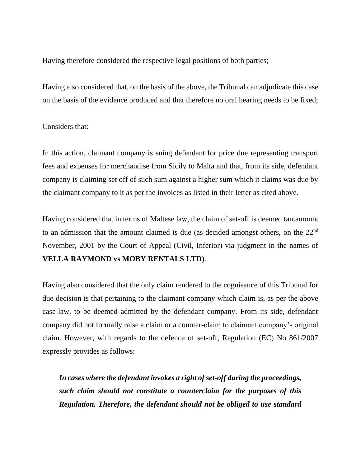Having therefore considered the respective legal positions of both parties;

Having also considered that, on the basis of the above, the Tribunal can adjudicate this case on the basis of the evidence produced and that therefore no oral hearing needs to be fixed;

## Considers that:

In this action, claimant company is suing defendant for price due representing transport fees and expenses for merchandise from Sicily to Malta and that, from its side, defendant company is claiming set off of such sum against a higher sum which it claims was due by the claimant company to it as per the invoices as listed in their letter as cited above.

Having considered that in terms of Maltese law, the claim of set-off is deemed tantamount to an admission that the amount claimed is due (as decided amongst others, on the 22<sup>nd</sup> November, 2001 by the Court of Appeal (Civil, Inferior) via judgment in the names of **VELLA RAYMOND vs MOBY RENTALS LTD**).

Having also considered that the only claim rendered to the cognisance of this Tribunal for due decision is that pertaining to the claimant company which claim is, as per the above case-law, to be deemed admitted by the defendant company. From its side, defendant company did not formally raise a claim or a counter-claim to claimant company's original claim. However, with regards to the defence of set-off, Regulation (EC) No 861/2007 expressly provides as follows:

*In cases where the defendant invokes a right of set-off during the proceedings, such claim should not constitute a counterclaim for the purposes of this Regulation. Therefore, the defendant should not be obliged to use standard*